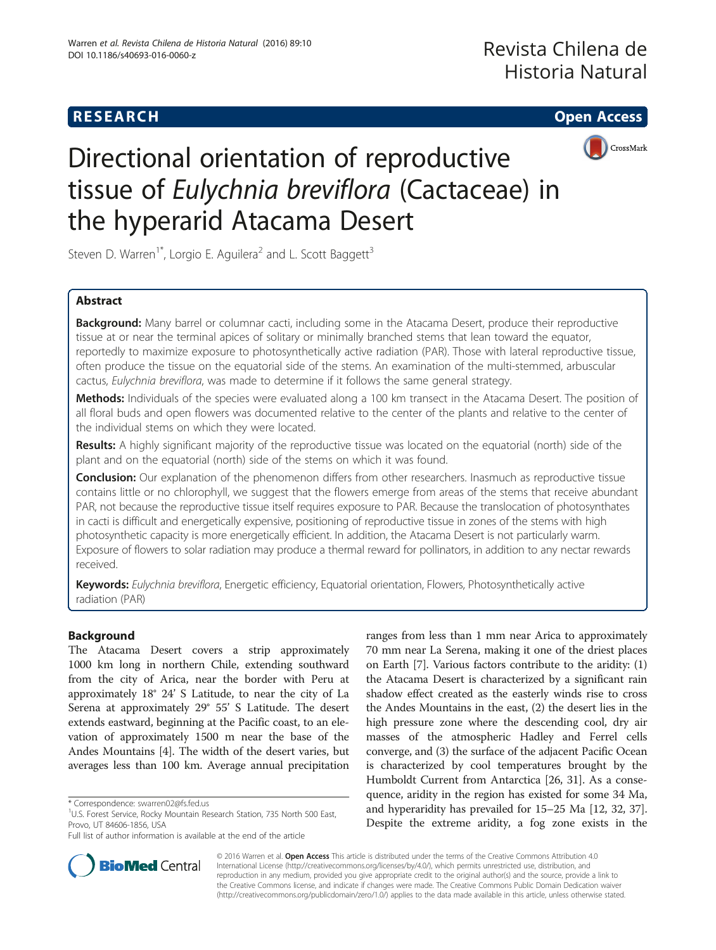# **RESEARCH CHILD CONTROL** CONTROL CONTROL CONTROL CONTROL CONTROL CONTROL CONTROL CONTROL CONTROL CONTROL CONTROL CONTROL CONTROL CONTROL CONTROL CONTROL CONTROL CONTROL CONTROL CONTROL CONTROL CONTROL CONTROL CONTROL CONTR





# Directional orientation of reproductive tissue of Eulychnia breviflora (Cactaceae) in the hyperarid Atacama Desert

Steven D. Warren<sup>1\*</sup>, Lorgio E. Aguilera<sup>2</sup> and L. Scott Baggett<sup>3</sup>

# Abstract

Background: Many barrel or columnar cacti, including some in the Atacama Desert, produce their reproductive tissue at or near the terminal apices of solitary or minimally branched stems that lean toward the equator, reportedly to maximize exposure to photosynthetically active radiation (PAR). Those with lateral reproductive tissue, often produce the tissue on the equatorial side of the stems. An examination of the multi-stemmed, arbuscular cactus, Eulychnia breviflora, was made to determine if it follows the same general strategy.

Methods: Individuals of the species were evaluated along a 100 km transect in the Atacama Desert. The position of all floral buds and open flowers was documented relative to the center of the plants and relative to the center of the individual stems on which they were located.

Results: A highly significant majority of the reproductive tissue was located on the equatorial (north) side of the plant and on the equatorial (north) side of the stems on which it was found.

Conclusion: Our explanation of the phenomenon differs from other researchers. Inasmuch as reproductive tissue contains little or no chlorophyll, we suggest that the flowers emerge from areas of the stems that receive abundant PAR, not because the reproductive tissue itself requires exposure to PAR. Because the translocation of photosynthates in cacti is difficult and energetically expensive, positioning of reproductive tissue in zones of the stems with high photosynthetic capacity is more energetically efficient. In addition, the Atacama Desert is not particularly warm. Exposure of flowers to solar radiation may produce a thermal reward for pollinators, in addition to any nectar rewards received.

Keywords: Eulychnia breviflora, Energetic efficiency, Equatorial orientation, Flowers, Photosynthetically active radiation (PAR)

# Background

The Atacama Desert covers a strip approximately 1000 km long in northern Chile, extending southward from the city of Arica, near the border with Peru at approximately 18° 24' S Latitude, to near the city of La Serena at approximately 29° 55' S Latitude. The desert extends eastward, beginning at the Pacific coast, to an elevation of approximately 1500 m near the base of the Andes Mountains [\[4](#page-3-0)]. The width of the desert varies, but averages less than 100 km. Average annual precipitation

ranges from less than 1 mm near Arica to approximately 70 mm near La Serena, making it one of the driest places on Earth [[7\]](#page-3-0). Various factors contribute to the aridity: (1) the Atacama Desert is characterized by a significant rain shadow effect created as the easterly winds rise to cross the Andes Mountains in the east, (2) the desert lies in the high pressure zone where the descending cool, dry air masses of the atmospheric Hadley and Ferrel cells converge, and (3) the surface of the adjacent Pacific Ocean is characterized by cool temperatures brought by the Humboldt Current from Antarctica [\[26](#page-4-0), [31](#page-4-0)]. As a consequence, aridity in the region has existed for some 34 Ma, and hyperaridity has prevailed for 15–25 Ma [[12](#page-4-0), [32](#page-4-0), [37](#page-4-0)]. Despite the extreme aridity, a fog zone exists in the



© 2016 Warren et al. Open Access This article is distributed under the terms of the Creative Commons Attribution 4.0 International License [\(http://creativecommons.org/licenses/by/4.0/](http://creativecommons.org/licenses/by/4.0/)), which permits unrestricted use, distribution, and reproduction in any medium, provided you give appropriate credit to the original author(s) and the source, provide a link to the Creative Commons license, and indicate if changes were made. The Creative Commons Public Domain Dedication waiver [\(http://creativecommons.org/publicdomain/zero/1.0/](http://creativecommons.org/publicdomain/zero/1.0/)) applies to the data made available in this article, unless otherwise stated.

<sup>\*</sup> Correspondence: [swarren02@fs.fed.us](mailto:swarren02@fs.fed.us) <sup>1</sup>

<sup>&</sup>lt;sup>1</sup>U.S. Forest Service, Rocky Mountain Research Station, 735 North 500 East, Provo, UT 84606-1856, USA

Full list of author information is available at the end of the article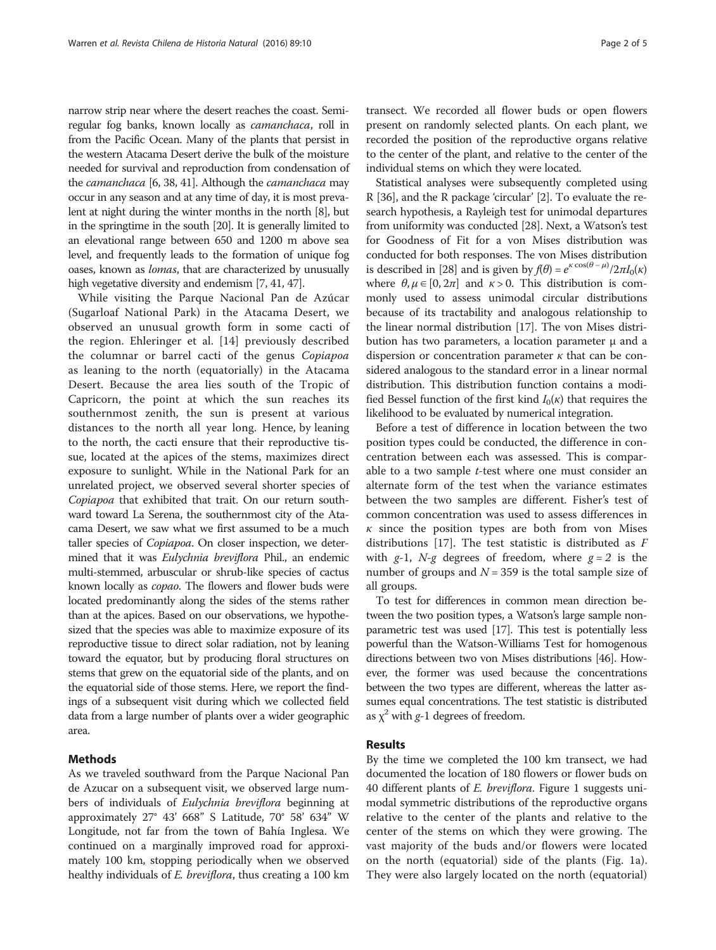narrow strip near where the desert reaches the coast. Semiregular fog banks, known locally as camanchaca, roll in from the Pacific Ocean. Many of the plants that persist in the western Atacama Desert derive the bulk of the moisture needed for survival and reproduction from condensation of the camanchaca [[6](#page-3-0), [38, 41\]](#page-4-0). Although the camanchaca may occur in any season and at any time of day, it is most prevalent at night during the winter months in the north [\[8\]](#page-4-0), but in the springtime in the south [\[20](#page-4-0)]. It is generally limited to an elevational range between 650 and 1200 m above sea level, and frequently leads to the formation of unique fog oases, known as lomas, that are characterized by unusually high vegetative diversity and endemism [[7,](#page-3-0) [41, 47\]](#page-4-0).

While visiting the Parque Nacional Pan de Azúcar (Sugarloaf National Park) in the Atacama Desert, we observed an unusual growth form in some cacti of the region. Ehleringer et al. [[14\]](#page-4-0) previously described the columnar or barrel cacti of the genus Copiapoa as leaning to the north (equatorially) in the Atacama Desert. Because the area lies south of the Tropic of Capricorn, the point at which the sun reaches its southernmost zenith, the sun is present at various distances to the north all year long. Hence, by leaning to the north, the cacti ensure that their reproductive tissue, located at the apices of the stems, maximizes direct exposure to sunlight. While in the National Park for an unrelated project, we observed several shorter species of Copiapoa that exhibited that trait. On our return southward toward La Serena, the southernmost city of the Atacama Desert, we saw what we first assumed to be a much taller species of Copiapoa. On closer inspection, we determined that it was Eulychnia breviflora Phil., an endemic multi-stemmed, arbuscular or shrub-like species of cactus known locally as copao. The flowers and flower buds were located predominantly along the sides of the stems rather than at the apices. Based on our observations, we hypothesized that the species was able to maximize exposure of its reproductive tissue to direct solar radiation, not by leaning toward the equator, but by producing floral structures on stems that grew on the equatorial side of the plants, and on the equatorial side of those stems. Here, we report the findings of a subsequent visit during which we collected field data from a large number of plants over a wider geographic area.

## Methods

As we traveled southward from the Parque Nacional Pan de Azucar on a subsequent visit, we observed large numbers of individuals of Eulychnia breviflora beginning at approximately 27° 43' 668" S Latitude, 70° 58' 634" W Longitude, not far from the town of Bahía Inglesa. We continued on a marginally improved road for approximately 100 km, stopping periodically when we observed healthy individuals of *E. breviflora*, thus creating a 100 km

transect. We recorded all flower buds or open flowers present on randomly selected plants. On each plant, we recorded the position of the reproductive organs relative to the center of the plant, and relative to the center of the individual stems on which they were located.

Statistical analyses were subsequently completed using R [[36](#page-4-0)], and the R package 'circular' [[2](#page-3-0)]. To evaluate the research hypothesis, a Rayleigh test for unimodal departures from uniformity was conducted [[28](#page-4-0)]. Next, a Watson's test for Goodness of Fit for a von Mises distribution was conducted for both responses. The von Mises distribution is described in [\[28\]](#page-4-0) and is given by  $f(\theta) = e^{\kappa \cos(\theta - \mu)}/2\pi I_0(\kappa)$ <br>where  $\theta, \mu \in [0, 2\pi]$  and  $\kappa > 0$ . This distribution is comwhere  $\theta$ ,  $\mu \in [0, 2\pi]$  and  $\kappa > 0$ . This distribution is commonly used to assess unimodal circular distributions because of its tractability and analogous relationship to the linear normal distribution [\[17\]](#page-4-0). The von Mises distribution has two parameters, a location parameter μ and a dispersion or concentration parameter  $\kappa$  that can be considered analogous to the standard error in a linear normal distribution. This distribution function contains a modified Bessel function of the first kind  $I_0(\kappa)$  that requires the likelihood to be evaluated by numerical integration.

Before a test of difference in location between the two position types could be conducted, the difference in concentration between each was assessed. This is comparable to a two sample t-test where one must consider an alternate form of the test when the variance estimates between the two samples are different. Fisher's test of common concentration was used to assess differences in  $\kappa$  since the position types are both from von Mises distributions [\[17\]](#page-4-0). The test statistic is distributed as  $F$ with g-1,  $N-g$  degrees of freedom, where  $g = 2$  is the number of groups and  $N = 359$  is the total sample size of all groups.

To test for differences in common mean direction between the two position types, a Watson's large sample nonparametric test was used [\[17\]](#page-4-0). This test is potentially less powerful than the Watson-Williams Test for homogenous directions between two von Mises distributions [\[46\]](#page-4-0). However, the former was used because the concentrations between the two types are different, whereas the latter assumes equal concentrations. The test statistic is distributed as  $\chi^2$  with g-1 degrees of freedom.

# Results

By the time we completed the 100 km transect, we had documented the location of 180 flowers or flower buds on 40 different plants of *E. breviflora*. Figure [1](#page-2-0) suggests unimodal symmetric distributions of the reproductive organs relative to the center of the plants and relative to the center of the stems on which they were growing. The vast majority of the buds and/or flowers were located on the north (equatorial) side of the plants (Fig. [1a](#page-2-0)). They were also largely located on the north (equatorial)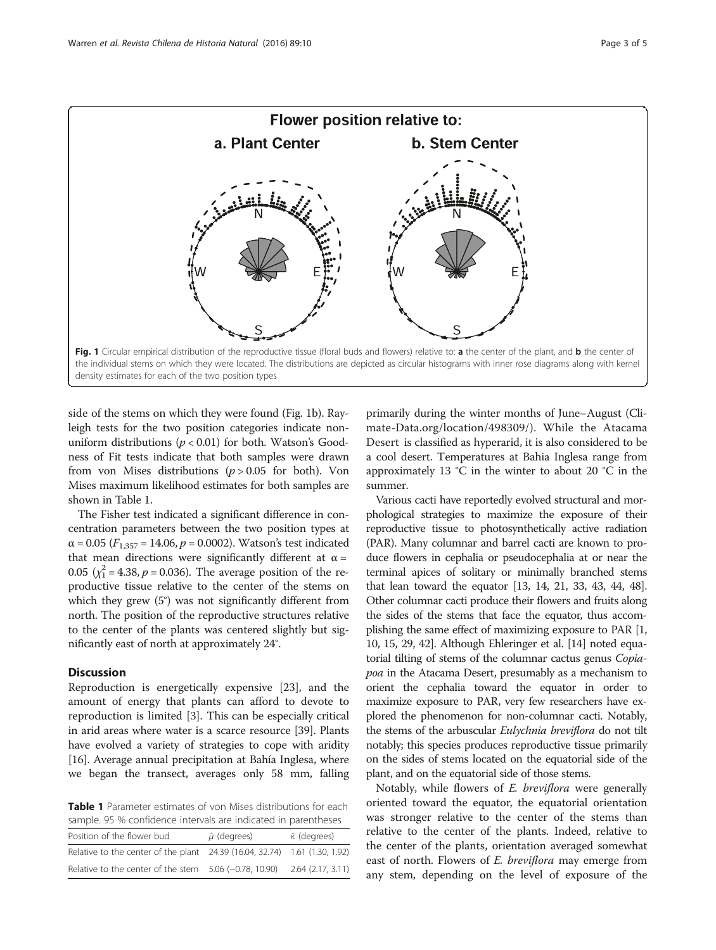<span id="page-2-0"></span>

side of the stems on which they were found (Fig. 1b). Rayleigh tests for the two position categories indicate nonuniform distributions  $(p < 0.01)$  for both. Watson's Goodness of Fit tests indicate that both samples were drawn from von Mises distributions  $(p > 0.05$  for both). Von Mises maximum likelihood estimates for both samples are shown in Table 1.

The Fisher test indicated a significant difference in concentration parameters between the two position types at  $\alpha$  = 0.05 ( $F_{1,357}$  = 14.06,  $p$  = 0.0002). Watson's test indicated that mean directions were significantly different at  $\alpha$  = 0.05  $(\chi_1^2 = 4.38, p = 0.036)$ . The average position of the reproductive tissue relative to the center of the stems on which they grew (5°) was not significantly different from north. The position of the reproductive structures relative to the center of the plants was centered slightly but significantly east of north at approximately 24°.

# **Discussion**

Reproduction is energetically expensive [[23\]](#page-4-0), and the amount of energy that plants can afford to devote to reproduction is limited [\[3](#page-3-0)]. This can be especially critical in arid areas where water is a scarce resource [\[39\]](#page-4-0). Plants have evolved a variety of strategies to cope with aridity [[16](#page-4-0)]. Average annual precipitation at Bahía Inglesa, where we began the transect, averages only 58 mm, falling

Table 1 Parameter estimates of von Mises distributions for each sample. 95 % confidence intervals are indicated in parentheses

| Position of the flower bud                                                 | $\hat{\mu}$ (degrees)     | $\hat{\kappa}$ (degrees) |
|----------------------------------------------------------------------------|---------------------------|--------------------------|
| Relative to the center of the plant 24.39 (16.04, 32.74) 1.61 (1.30, 1.92) |                           |                          |
| Relative to the center of the stem                                         | $5.06$ ( $-0.78$ , 10.90) | $2.64$ $(2.17, 3.11)$    |

primarily during the winter months of June–August (Climate-Data.org/location/498309/). While the Atacama Desert is classified as hyperarid, it is also considered to be a cool desert. Temperatures at Bahia Inglesa range from approximately 13  $\degree$ C in the winter to about 20  $\degree$ C in the summer.

Various cacti have reportedly evolved structural and morphological strategies to maximize the exposure of their reproductive tissue to photosynthetically active radiation (PAR). Many columnar and barrel cacti are known to produce flowers in cephalia or pseudocephalia at or near the terminal apices of solitary or minimally branched stems that lean toward the equator [[13](#page-4-0), [14, 21, 33](#page-4-0), [43](#page-4-0), [44, 48](#page-4-0)]. Other columnar cacti produce their flowers and fruits along the sides of the stems that face the equator, thus accomplishing the same effect of maximizing exposure to PAR [[1](#page-3-0), [10](#page-4-0), [15, 29](#page-4-0), [42](#page-4-0)]. Although Ehleringer et al. [\[14\]](#page-4-0) noted equatorial tilting of stems of the columnar cactus genus Copiapoa in the Atacama Desert, presumably as a mechanism to orient the cephalia toward the equator in order to maximize exposure to PAR, very few researchers have explored the phenomenon for non-columnar cacti. Notably, the stems of the arbuscular *Eulychnia breviflora* do not tilt notably; this species produces reproductive tissue primarily on the sides of stems located on the equatorial side of the plant, and on the equatorial side of those stems.

Notably, while flowers of E. breviflora were generally oriented toward the equator, the equatorial orientation was stronger relative to the center of the stems than relative to the center of the plants. Indeed, relative to the center of the plants, orientation averaged somewhat east of north. Flowers of *E. breviflora* may emerge from any stem, depending on the level of exposure of the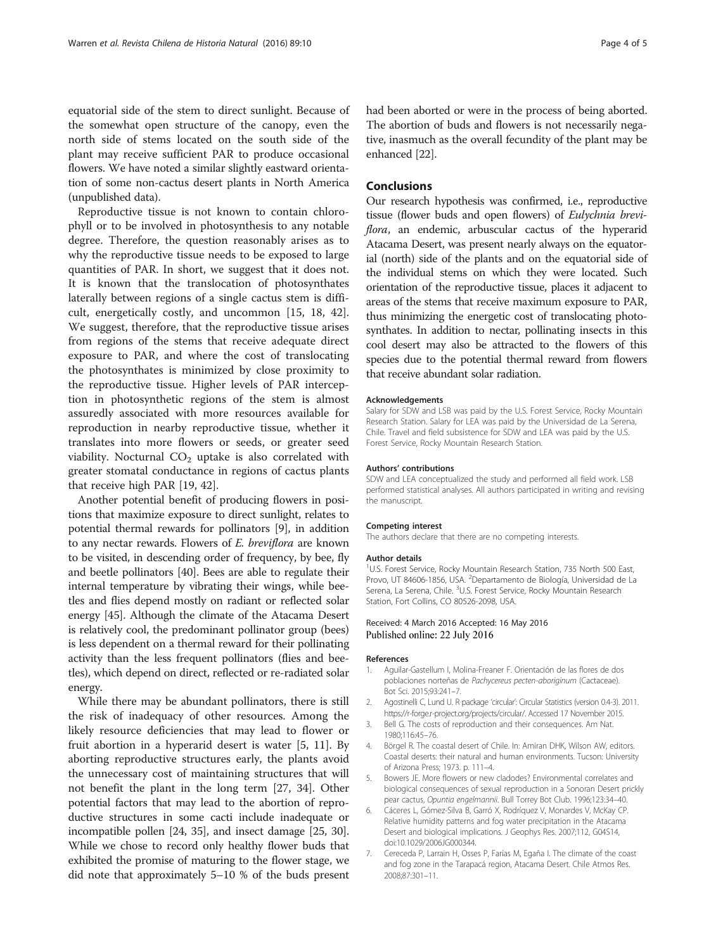<span id="page-3-0"></span>equatorial side of the stem to direct sunlight. Because of the somewhat open structure of the canopy, even the north side of stems located on the south side of the plant may receive sufficient PAR to produce occasional flowers. We have noted a similar slightly eastward orientation of some non-cactus desert plants in North America (unpublished data).

Reproductive tissue is not known to contain chlorophyll or to be involved in photosynthesis to any notable degree. Therefore, the question reasonably arises as to why the reproductive tissue needs to be exposed to large quantities of PAR. In short, we suggest that it does not. It is known that the translocation of photosynthates laterally between regions of a single cactus stem is difficult, energetically costly, and uncommon [\[15](#page-4-0), [18](#page-4-0), [42](#page-4-0)]. We suggest, therefore, that the reproductive tissue arises from regions of the stems that receive adequate direct exposure to PAR, and where the cost of translocating the photosynthates is minimized by close proximity to the reproductive tissue. Higher levels of PAR interception in photosynthetic regions of the stem is almost assuredly associated with more resources available for reproduction in nearby reproductive tissue, whether it translates into more flowers or seeds, or greater seed viability. Nocturnal  $CO<sub>2</sub>$  uptake is also correlated with greater stomatal conductance in regions of cactus plants that receive high PAR [[19, 42\]](#page-4-0).

Another potential benefit of producing flowers in positions that maximize exposure to direct sunlight, relates to potential thermal rewards for pollinators [[9](#page-4-0)], in addition to any nectar rewards. Flowers of E. breviflora are known to be visited, in descending order of frequency, by bee, fly and beetle pollinators [[40](#page-4-0)]. Bees are able to regulate their internal temperature by vibrating their wings, while beetles and flies depend mostly on radiant or reflected solar energy [[45](#page-4-0)]. Although the climate of the Atacama Desert is relatively cool, the predominant pollinator group (bees) is less dependent on a thermal reward for their pollinating activity than the less frequent pollinators (flies and beetles), which depend on direct, reflected or re-radiated solar energy.

While there may be abundant pollinators, there is still the risk of inadequacy of other resources. Among the likely resource deficiencies that may lead to flower or fruit abortion in a hyperarid desert is water [5, [11\]](#page-4-0). By aborting reproductive structures early, the plants avoid the unnecessary cost of maintaining structures that will not benefit the plant in the long term [\[27](#page-4-0), [34\]](#page-4-0). Other potential factors that may lead to the abortion of reproductive structures in some cacti include inadequate or incompatible pollen [[24](#page-4-0), [35\]](#page-4-0), and insect damage [\[25, 30](#page-4-0)]. While we chose to record only healthy flower buds that exhibited the promise of maturing to the flower stage, we did note that approximately 5–10 % of the buds present had been aborted or were in the process of being aborted. The abortion of buds and flowers is not necessarily negative, inasmuch as the overall fecundity of the plant may be enhanced [[22](#page-4-0)].

## Conclusions

Our research hypothesis was confirmed, i.e., reproductive tissue (flower buds and open flowers) of Eulychnia breviflora, an endemic, arbuscular cactus of the hyperarid Atacama Desert, was present nearly always on the equatorial (north) side of the plants and on the equatorial side of the individual stems on which they were located. Such orientation of the reproductive tissue, places it adjacent to areas of the stems that receive maximum exposure to PAR, thus minimizing the energetic cost of translocating photosynthates. In addition to nectar, pollinating insects in this cool desert may also be attracted to the flowers of this species due to the potential thermal reward from flowers that receive abundant solar radiation.

#### Acknowledgements

Salary for SDW and LSB was paid by the U.S. Forest Service, Rocky Mountain Research Station. Salary for LEA was paid by the Universidad de La Serena, Chile. Travel and field subsistence for SDW and LEA was paid by the U.S. Forest Service, Rocky Mountain Research Station.

#### Authors' contributions

SDW and LEA conceptualized the study and performed all field work. LSB performed statistical analyses. All authors participated in writing and revising the manuscript.

#### Competing interest

The authors declare that there are no competing interests.

#### Author details

<sup>1</sup>U.S. Forest Service, Rocky Mountain Research Station, 735 North 500 East, Provo, UT 84606-1856, USA. <sup>2</sup>Departamento de Biología, Universidad de La Serena, La Serena, Chile. <sup>3</sup>U.S. Forest Service, Rocky Mountain Research Station, Fort Collins, CO 80526-2098, USA.

## Received: 4 March 2016 Accepted: 16 May 2016 Published online: 22 July 2016

## References

- Aguilar-Gastellum I, Molina-Freaner F. Orientación de las flores de dos poblaciones norteñas de Pachycereus pecten-aboriginum (Cactaceae). Bot Sci. 2015;93:241–7.
- 2. Agostinelli C, Lund U. R package 'circular': Circular Statistics (version 0.4-3). 2011. [https://r-forge.r-project.org/projects/circular/.](https://r-forge.r-project.org/projects/circular/) Accessed 17 November 2015.
- 3. Bell G. The costs of reproduction and their consequences. Am Nat. 1980;116:45–76.
- 4. Börgel R. The coastal desert of Chile. In: Amiran DHK, Wilson AW, editors. Coastal deserts: their natural and human environments. Tucson: University of Arizona Press; 1973. p. 111–4.
- 5. Bowers JE. More flowers or new cladodes? Environmental correlates and biological consequences of sexual reproduction in a Sonoran Desert prickly pear cactus, Opuntia engelmannii. Bull Torrey Bot Club. 1996;123:34–40.
- 6. Cáceres L, Gómez-Silva B, Garró X, Rodríquez V, Monardes V, McKay CP. Relative humidity patterns and fog water precipitation in the Atacama Desert and biological implications. J Geophys Res. 2007;112, G04S14, doi[:10.1029/2006JG000344](http://dx.doi.org/10.1029/2006JG000344).
- 7. Cereceda P, Larrain H, Osses P, Farías M, Egaña I. The climate of the coast and fog zone in the Tarapacá region, Atacama Desert. Chile Atmos Res. 2008;87:301–11.